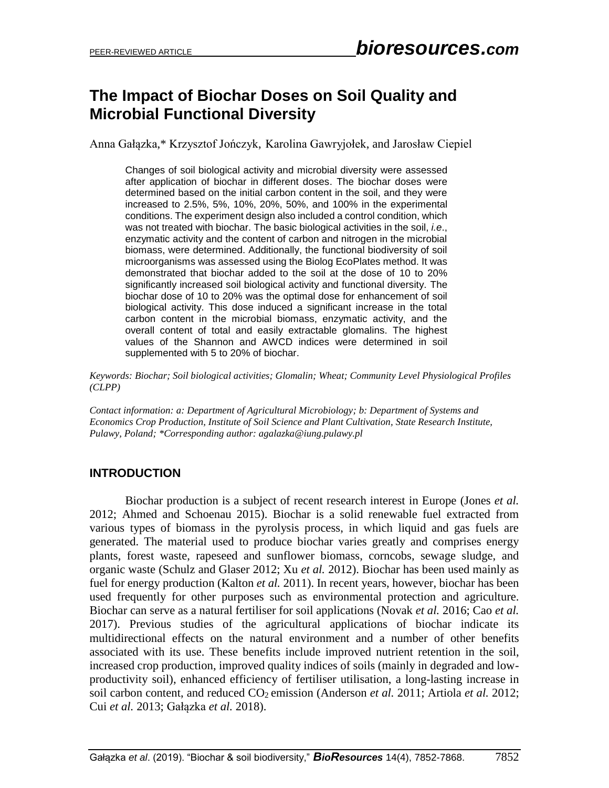# **The Impact of Biochar Doses on Soil Quality and Microbial Functional Diversity**

Anna Gałązka,\* Krzysztof Jończyk, Karolina Gawryjołek, and Jarosław Ciepiel

Changes of soil biological activity and microbial diversity were assessed after application of biochar in different doses. The biochar doses were determined based on the initial carbon content in the soil, and they were increased to 2.5%, 5%, 10%, 20%, 50%, and 100% in the experimental conditions. The experiment design also included a control condition, which was not treated with biochar. The basic biological activities in the soil, *i.e*., enzymatic activity and the content of carbon and nitrogen in the microbial biomass, were determined. Additionally, the functional biodiversity of soil microorganisms was assessed using the Biolog EcoPlates method. It was demonstrated that biochar added to the soil at the dose of 10 to 20% significantly increased soil biological activity and functional diversity. The biochar dose of 10 to 20% was the optimal dose for enhancement of soil biological activity. This dose induced a significant increase in the total carbon content in the microbial biomass, enzymatic activity, and the overall content of total and easily extractable glomalins. The highest values of the Shannon and AWCD indices were determined in soil supplemented with 5 to 20% of biochar.

*Keywords: Biochar; Soil biological activities; Glomalin; Wheat; Community Level Physiological Profiles (CLPP)*

*Contact information: a: Department of Agricultural Microbiology; b: Department of Systems and Economics Crop Production, Institute of Soil Science and Plant Cultivation, State Research Institute, Pulawy, Poland; \*Corresponding author: agalazka@iung.pulawy.pl*

# **INTRODUCTION**

Biochar production is a subject of recent research interest in Europe (Jones *et al.* 2012; Ahmed and Schoenau 2015). Biochar is a solid renewable fuel extracted from various types of biomass in the pyrolysis process, in which liquid and gas fuels are generated. The material used to produce biochar varies greatly and comprises energy plants, forest waste, rapeseed and sunflower biomass, corncobs, sewage sludge, and organic waste (Schulz and Glaser 2012; Xu *et al.* 2012). Biochar has been used mainly as fuel for energy production (Kalton *et al.* 2011). In recent years, however, biochar has been used frequently for other purposes such as environmental protection and agriculture. Biochar can serve as a natural fertiliser for soil applications (Novak *et al.* 2016; Cao *et al.* 2017). Previous studies of the agricultural applications of biochar indicate its multidirectional effects on the natural environment and a number of other benefits associated with its use. These benefits include improved nutrient retention in the soil, increased crop production, improved quality indices of soils (mainly in degraded and lowproductivity soil), enhanced efficiency of fertiliser utilisation, a long-lasting increase in soil carbon content, and reduced CO<sub>2</sub> emission (Anderson *et al.* 2011; Artiola *et al.* 2012; Cui *et al.* 2013; Gałązka *et al.* 2018).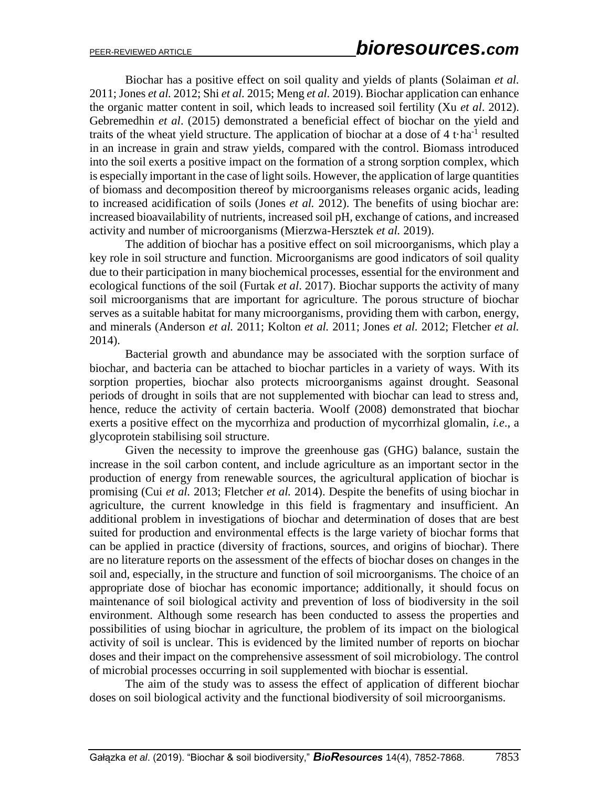Biochar has a positive effect on soil quality and yields of plants (Solaiman *et al.* 2011; Jones *et al.* 2012; Shi *et al.* 2015; Meng *et al.* 2019). Biochar application can enhance the organic matter content in soil, which leads to increased soil fertility (Xu *et al*. 2012). Gebremedhin *et al*. (2015) demonstrated a beneficial effect of biochar on the yield and traits of the wheat yield structure. The application of biochar at a dose of  $4t \cdot ha^{-1}$  resulted in an increase in grain and straw yields, compared with the control. Biomass introduced into the soil exerts a positive impact on the formation of a strong sorption complex, which is especially important in the case of light soils. However, the application of large quantities of biomass and decomposition thereof by microorganisms releases organic acids, leading to increased acidification of soils (Jones *et al.* 2012). The benefits of using biochar are: increased bioavailability of nutrients, increased soil pH, exchange of cations, and increased activity and number of microorganisms (Mierzwa-Hersztek *et al.* 2019).

The addition of biochar has a positive effect on soil microorganisms, which play a key role in soil structure and function. Microorganisms are good indicators of soil quality due to their participation in many biochemical processes, essential for the environment and ecological functions of the soil (Furtak *et al*. 2017). Biochar supports the activity of many soil microorganisms that are important for agriculture. The porous structure of biochar serves as a suitable habitat for many microorganisms, providing them with carbon, energy, and minerals (Anderson *et al.* 2011; Kolton *et al.* 2011; Jones *et al.* 2012; Fletcher *et al.* 2014).

Bacterial growth and abundance may be associated with the sorption surface of biochar, and bacteria can be attached to biochar particles in a variety of ways. With its sorption properties, biochar also protects microorganisms against drought. Seasonal periods of drought in soils that are not supplemented with biochar can lead to stress and, hence, reduce the activity of certain bacteria. Woolf (2008) demonstrated that biochar exerts a positive effect on the mycorrhiza and production of mycorrhizal glomalin, *i.e*., a glycoprotein stabilising soil structure.

Given the necessity to improve the greenhouse gas (GHG) balance, sustain the increase in the soil carbon content, and include agriculture as an important sector in the production of energy from renewable sources, the agricultural application of biochar is promising (Cui *et al.* 2013; Fletcher *et al.* 2014). Despite the benefits of using biochar in agriculture, the current knowledge in this field is fragmentary and insufficient. An additional problem in investigations of biochar and determination of doses that are best suited for production and environmental effects is the large variety of biochar forms that can be applied in practice (diversity of fractions, sources, and origins of biochar). There are no literature reports on the assessment of the effects of biochar doses on changes in the soil and, especially, in the structure and function of soil microorganisms. The choice of an appropriate dose of biochar has economic importance; additionally, it should focus on maintenance of soil biological activity and prevention of loss of biodiversity in the soil environment. Although some research has been conducted to assess the properties and possibilities of using biochar in agriculture, the problem of its impact on the biological activity of soil is unclear. This is evidenced by the limited number of reports on biochar doses and their impact on the comprehensive assessment of soil microbiology. The control of microbial processes occurring in soil supplemented with biochar is essential.

The aim of the study was to assess the effect of application of different biochar doses on soil biological activity and the functional biodiversity of soil microorganisms.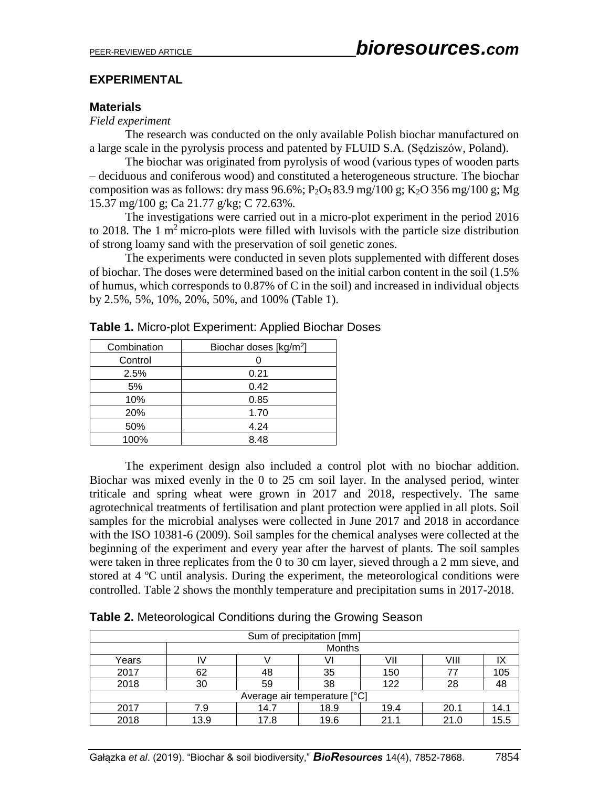## **EXPERIMENTAL**

## **Materials**

#### *Field experiment*

The research was conducted on the only available Polish biochar manufactured on a large scale in the pyrolysis process and patented by FLUID S.A. (Sędziszów, Poland).

The biochar was originated from pyrolysis of wood (various types of wooden parts – deciduous and coniferous wood) and constituted a heterogeneous structure. The biochar composition was as follows: dry mass  $96.6\%$ ; P<sub>2</sub>O<sub>5</sub> 83.9 mg/100 g; K<sub>2</sub>O 356 mg/100 g; Mg 15.37 mg/100 g; Ca 21.77 g/kg; C 72.63%.

The investigations were carried out in a micro-plot experiment in the period 2016 to 2018. The 1  $m<sup>2</sup>$  micro-plots were filled with luvisols with the particle size distribution of strong loamy sand with the preservation of soil genetic zones.

The experiments were conducted in seven plots supplemented with different doses of biochar. The doses were determined based on the initial carbon content in the soil (1.5% of humus, which corresponds to 0.87% of C in the soil) and increased in individual objects by 2.5%, 5%, 10%, 20%, 50%, and 100% (Table 1).

| Combination | Biochar doses [kg/m <sup>2</sup> ] |  |  |
|-------------|------------------------------------|--|--|
| Control     |                                    |  |  |
| 2.5%        | 0.21                               |  |  |
| 5%          | 0.42                               |  |  |
| 10%         | 0.85                               |  |  |
| 20%         | 1.70                               |  |  |
| 50%         | 4.24                               |  |  |
| 100%        | 8.48                               |  |  |

**Table 1.** Micro-plot Experiment: Applied Biochar Doses

The experiment design also included a control plot with no biochar addition. Biochar was mixed evenly in the 0 to 25 cm soil layer. In the analysed period, winter triticale and spring wheat were grown in 2017 and 2018, respectively. The same agrotechnical treatments of fertilisation and plant protection were applied in all plots. Soil samples for the microbial analyses were collected in June 2017 and 2018 in accordance with the ISO 10381-6 (2009). Soil samples for the chemical analyses were collected at the beginning of the experiment and every year after the harvest of plants. The soil samples were taken in three replicates from the 0 to 30 cm layer, sieved through a 2 mm sieve, and stored at 4 ºC until analysis. During the experiment, the meteorological conditions were controlled. Table 2 shows the monthly temperature and precipitation sums in 2017-2018.

| Sum of precipitation [mm]    |      |               |      |      |      |      |  |  |
|------------------------------|------|---------------|------|------|------|------|--|--|
|                              |      | <b>Months</b> |      |      |      |      |  |  |
| Years                        |      |               |      | VII  | VIII |      |  |  |
| 2017                         | 62   | 48            | 35   | 150  | 77   | 105  |  |  |
| 2018                         | 30   | 59            | 38   | 122  | 28   | 48   |  |  |
| Average air temperature [°C] |      |               |      |      |      |      |  |  |
| 2017                         | 7.9  | 14.7          | 18.9 | 19.4 | 20.1 | 14.1 |  |  |
| 2018                         | 13.9 | 17.8          | 19.6 | 21 1 | 21.0 | 15.5 |  |  |

**Table 2.** Meteorological Conditions during the Growing Season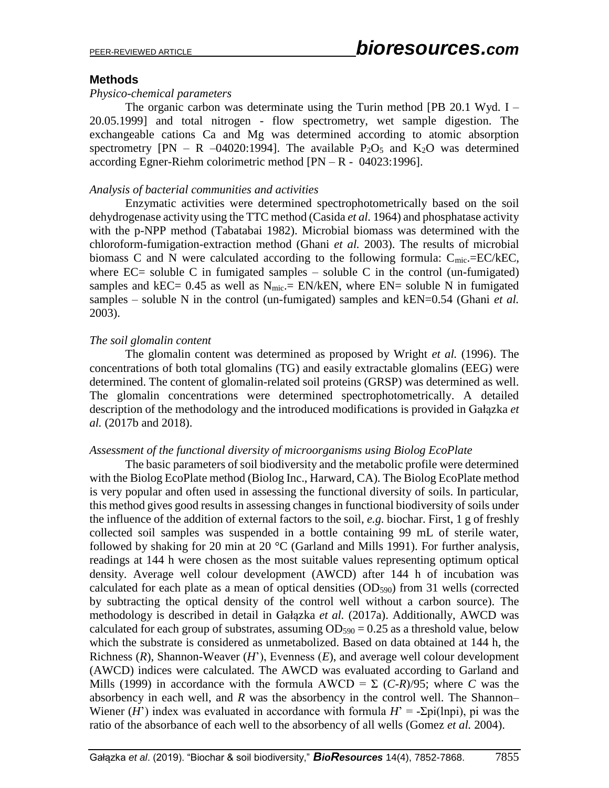#### **Methods**

#### *Physico-chemical parameters*

The organic carbon was determinate using the Turin method [PB 20.1 Wyd. I – 20.05.1999] and total nitrogen - flow spectrometry, wet sample digestion. The exchangeable cations Ca and Mg was determined according to atomic absorption spectrometry  $[PN - R -04020:1994]$ . The available  $P_2O_5$  and  $K_2O$  was determined according Egner-Riehm colorimetric method [PN – R - 04023:1996].

#### *Analysis of bacterial communities and activities*

Enzymatic activities were determined spectrophotometrically based on the soil dehydrogenase activity using the TTC method (Casida *et al.* 1964) and phosphatase activity with the p-NPP method (Tabatabai 1982). Microbial biomass was determined with the chloroform-fumigation-extraction method (Ghani *et al.* 2003). The results of microbial biomass C and N were calculated according to the following formula:  $C_{\text{mic}} = EC/REC$ , where  $EC =$  soluble C in fumigated samples – soluble C in the control (un-fumigated) samples and kEC=  $0.45$  as well as N<sub>mic</sub>.= EN/kEN, where EN= soluble N in fumigated samples – soluble N in the control (un-fumigated) samples and kEN=0.54 (Ghani *et al.* 2003).

#### *The soil glomalin content*

The glomalin content was determined as proposed by Wright *et al.* (1996). The concentrations of both total glomalins (TG) and easily extractable glomalins (EEG) were determined. The content of glomalin-related soil proteins (GRSP) was determined as well. The glomalin concentrations were determined spectrophotometrically. A detailed description of the methodology and the introduced modifications is provided in Gałązka *et al.* (2017b and 2018).

#### *Assessment of the functional diversity of microorganisms using Biolog EcoPlate*

The basic parameters of soil biodiversity and the metabolic profile were determined with the Biolog EcoPlate method (Biolog Inc., Harward, CA). The Biolog EcoPlate method is very popular and often used in assessing the functional diversity of soils. In particular, this method gives good results in assessing changes in functional biodiversity of soils under the influence of the addition of external factors to the soil, *e.g.* biochar. First, 1 g of freshly collected soil samples was suspended in a bottle containing 99 mL of sterile water, followed by shaking for 20 min at 20  $^{\circ}$ C (Garland and Mills 1991). For further analysis, readings at 144 h were chosen as the most suitable values representing optimum optical density. Average well colour development (AWCD) after 144 h of incubation was calculated for each plate as a mean of optical densities  $(OD<sub>590</sub>)$  from 31 wells (corrected by subtracting the optical density of the control well without a carbon source). The methodology is described in detail in Gałązka *et al.* (2017a). Additionally, AWCD was calculated for each group of substrates, assuming  $OD_{590} = 0.25$  as a threshold value, below which the substrate is considered as unmetabolized. Based on data obtained at 144 h, the Richness (*R*), Shannon-Weaver (*H*'), Evenness (*E*), and average well colour development (AWCD) indices were calculated. The AWCD was evaluated according to Garland and Mills (1999) in accordance with the formula  $AWCD = \sum (C-R)/95$ ; where *C* was the absorbency in each well, and *R* was the absorbency in the control well. The Shannon– Wiener (*H*<sup>'</sup>) index was evaluated in accordance with formula  $H' = -\Sigma \pi i(\ln \pi i)$ , pi was the ratio of the absorbance of each well to the absorbency of all wells (Gomez *et al.* 2004).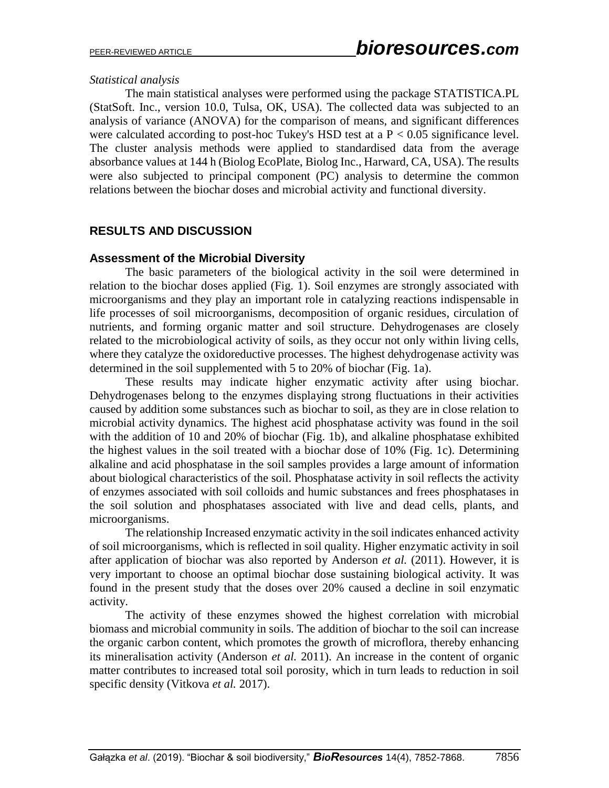## *Statistical analysis*

The main statistical analyses were performed using the package STATISTICA.PL (StatSoft. Inc., version 10.0, Tulsa, OK, USA). The collected data was subjected to an analysis of variance (ANOVA) for the comparison of means, and significant differences were calculated according to post-hoc Tukey's HSD test at a  $P < 0.05$  significance level. The cluster analysis methods were applied to standardised data from the average absorbance values at 144 h (Biolog EcoPlate, Biolog Inc., Harward, CA, USA). The results were also subjected to principal component (PC) analysis to determine the common relations between the biochar doses and microbial activity and functional diversity.

# **RESULTS AND DISCUSSION**

## **Assessment of the Microbial Diversity**

The basic parameters of the biological activity in the soil were determined in relation to the biochar doses applied (Fig. 1). Soil enzymes are strongly associated with microorganisms and they play an important role in catalyzing reactions indispensable in life processes of soil microorganisms, decomposition of organic residues, circulation of nutrients, and forming organic matter and soil structure. Dehydrogenases are closely related to the microbiological activity of soils, as they occur not only within living cells, where they catalyze the oxidoreductive processes. The highest dehydrogenase activity was determined in the soil supplemented with 5 to 20% of biochar (Fig. 1a).

These results may indicate higher enzymatic activity after using biochar. Dehydrogenases belong to the enzymes displaying strong fluctuations in their activities caused by addition some substances such as biochar to soil, as they are in close relation to microbial activity dynamics. The highest acid phosphatase activity was found in the soil with the addition of 10 and 20% of biochar (Fig. 1b), and alkaline phosphatase exhibited the highest values in the soil treated with a biochar dose of 10% (Fig. 1c). Determining alkaline and acid phosphatase in the soil samples provides a large amount of information about biological characteristics of the soil. Phosphatase activity in soil reflects the activity of enzymes associated with soil colloids and humic substances and frees phosphatases in the soil solution and phosphatases associated with live and dead cells, plants, and microorganisms.

The relationship Increased enzymatic activity in the soil indicates enhanced activity of soil microorganisms, which is reflected in soil quality. Higher enzymatic activity in soil after application of biochar was also reported by Anderson *et al.* (2011). However, it is very important to choose an optimal biochar dose sustaining biological activity. It was found in the present study that the doses over 20% caused a decline in soil enzymatic activity.

The activity of these enzymes showed the highest correlation with microbial biomass and microbial community in soils. The addition of biochar to the soil can increase the organic carbon content, which promotes the growth of microflora, thereby enhancing its mineralisation activity (Anderson *et al.* 2011). An increase in the content of organic matter contributes to increased total soil porosity, which in turn leads to reduction in soil specific density (Vitkova *et al.* 2017).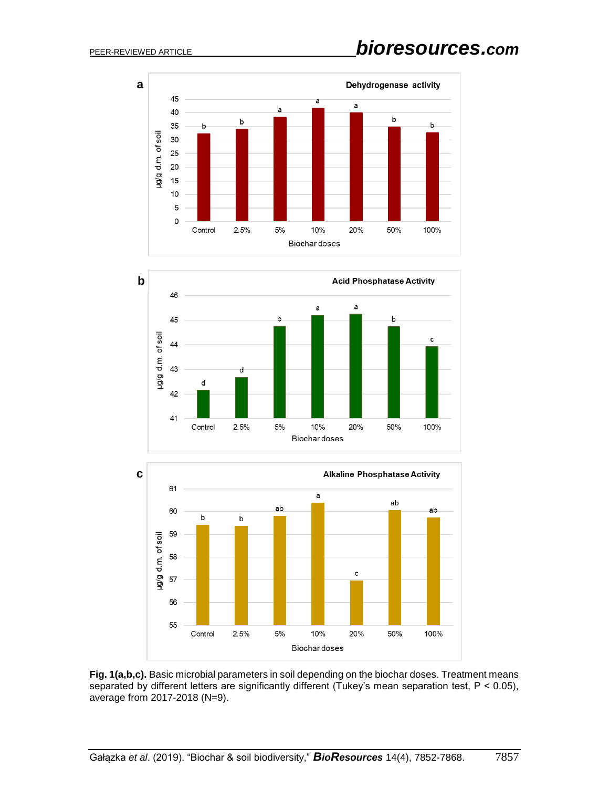





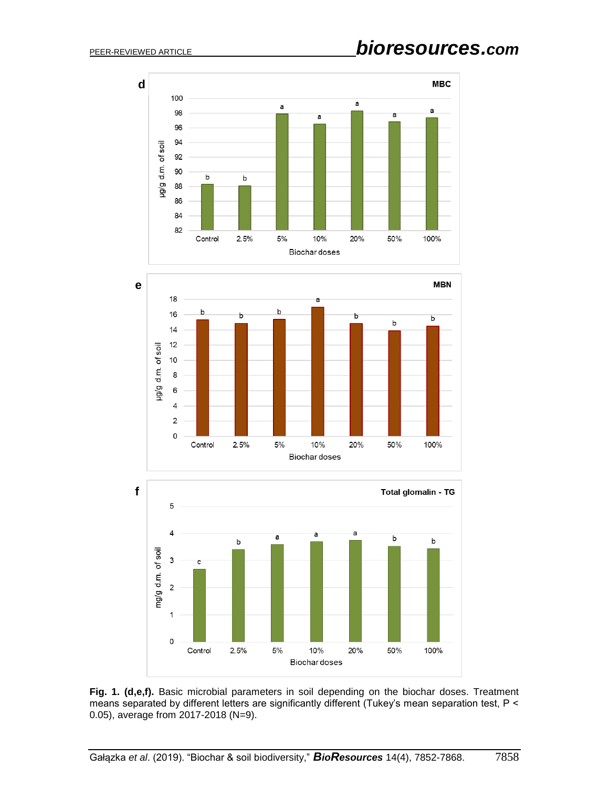





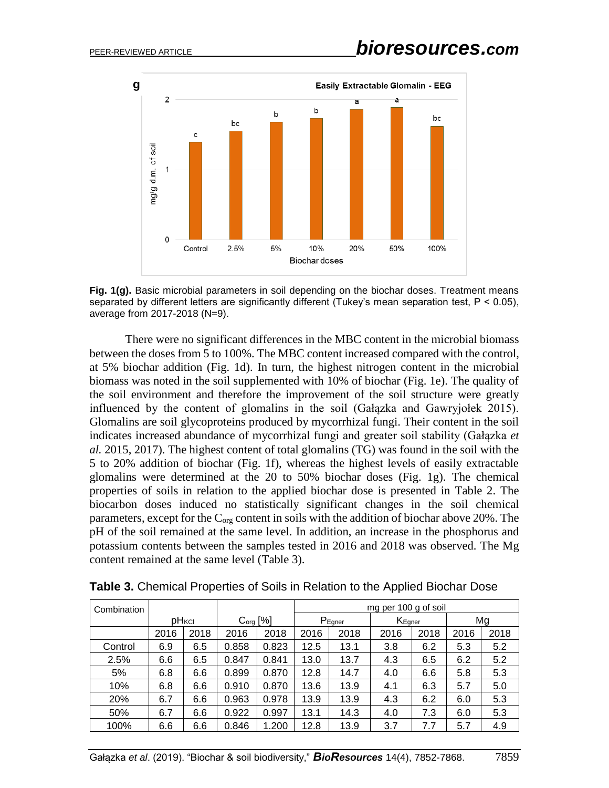

**Fig. 1(g).** Basic microbial parameters in soil depending on the biochar doses. Treatment means separated by different letters are significantly different (Tukey's mean separation test,  $P < 0.05$ ), average from 2017-2018 (N=9).

There were no significant differences in the MBC content in the microbial biomass between the doses from 5 to 100%. The MBC content increased compared with the control, at 5% biochar addition (Fig. 1d). In turn, the highest nitrogen content in the microbial biomass was noted in the soil supplemented with 10% of biochar (Fig. 1e). The quality of the soil environment and therefore the improvement of the soil structure were greatly influenced by the content of glomalins in the soil (Gałązka and Gawryjołek 2015). Glomalins are soil glycoproteins produced by mycorrhizal fungi. Their content in the soil indicates increased abundance of mycorrhizal fungi and greater soil stability (Gałązka *et al.* 2015, 2017). The highest content of total glomalins (TG) was found in the soil with the 5 to 20% addition of biochar (Fig. 1f), whereas the highest levels of easily extractable glomalins were determined at the 20 to 50% biochar doses (Fig. 1g). The chemical properties of soils in relation to the applied biochar dose is presented in Table 2. The biocarbon doses induced no statistically significant changes in the soil chemical parameters, except for the  $C_{org}$  content in soils with the addition of biochar above 20%. The pH of the soil remained at the same level. In addition, an increase in the phosphorus and potassium contents between the samples tested in 2016 and 2018 was observed. The Mg content remained at the same level (Table 3).

| Combination |      |                   |       | mg per 100 g of soil |      |             |      |                               |      |      |  |
|-------------|------|-------------------|-------|----------------------|------|-------------|------|-------------------------------|------|------|--|
|             |      | pH <sub>KCI</sub> |       | C <sub>org</sub> [%] |      | $P_{Egner}$ |      | $\mathsf{K}_{\mathsf{Egner}}$ |      | Mg   |  |
|             | 2016 | 2018              | 2016  | 2018                 | 2016 | 2018        | 2016 | 2018                          | 2016 | 2018 |  |
| Control     | 6.9  | 6.5               | 0.858 | 0.823                | 12.5 | 13.1        | 3.8  | 6.2                           | 5.3  | 5.2  |  |
| 2.5%        | 6.6  | 6.5               | 0.847 | 0.841                | 13.0 | 13.7        | 4.3  | 6.5                           | 6.2  | 5.2  |  |
| 5%          | 6.8  | 6.6               | 0.899 | 0.870                | 12.8 | 14.7        | 4.0  | 6.6                           | 5.8  | 5.3  |  |
| 10%         | 6.8  | 6.6               | 0.910 | 0.870                | 13.6 | 13.9        | 4.1  | 6.3                           | 5.7  | 5.0  |  |
| 20%         | 6.7  | 6.6               | 0.963 | 0.978                | 13.9 | 13.9        | 4.3  | 6.2                           | 6.0  | 5.3  |  |
| 50%         | 6.7  | 6.6               | 0.922 | 0.997                | 13.1 | 14.3        | 4.0  | 7.3                           | 6.0  | 5.3  |  |
| 100%        | 6.6  | 6.6               | 0.846 | 1.200                | 12.8 | 13.9        | 3.7  | 7.7                           | 5.7  | 4.9  |  |

**Table 3.** Chemical Properties of Soils in Relation to the Applied Biochar Dose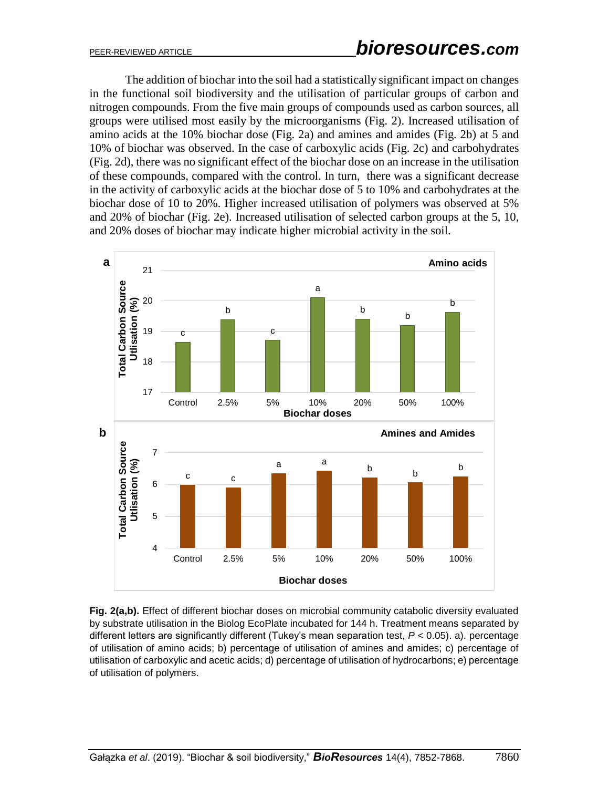The addition of biochar into the soil had a statistically significant impact on changes in the functional soil biodiversity and the utilisation of particular groups of carbon and nitrogen compounds. From the five main groups of compounds used as carbon sources, all groups were utilised most easily by the microorganisms (Fig. 2). Increased utilisation of amino acids at the 10% biochar dose (Fig. 2a) and amines and amides (Fig. 2b) at 5 and 10% of biochar was observed. In the case of carboxylic acids (Fig. 2c) and carbohydrates (Fig. 2d), there was no significant effect of the biochar dose on an increase in the utilisation of these compounds, compared with the control. In turn, there was a significant decrease in the activity of carboxylic acids at the biochar dose of 5 to 10% and carbohydrates at the biochar dose of 10 to 20%. Higher increased utilisation of polymers was observed at 5% and 20% of biochar (Fig. 2e). Increased utilisation of selected carbon groups at the 5, 10, and 20% doses of biochar may indicate higher microbial activity in the soil.



**Fig. 2(a,b).** Effect of different biochar doses on microbial community catabolic diversity evaluated by substrate utilisation in the Biolog EcoPlate incubated for 144 h. Treatment means separated by different letters are significantly different (Tukey's mean separation test, *P* < 0.05). a). percentage of utilisation of amino acids; b) percentage of utilisation of amines and amides; c) percentage of utilisation of carboxylic and acetic acids; d) percentage of utilisation of hydrocarbons; e) percentage of utilisation of polymers.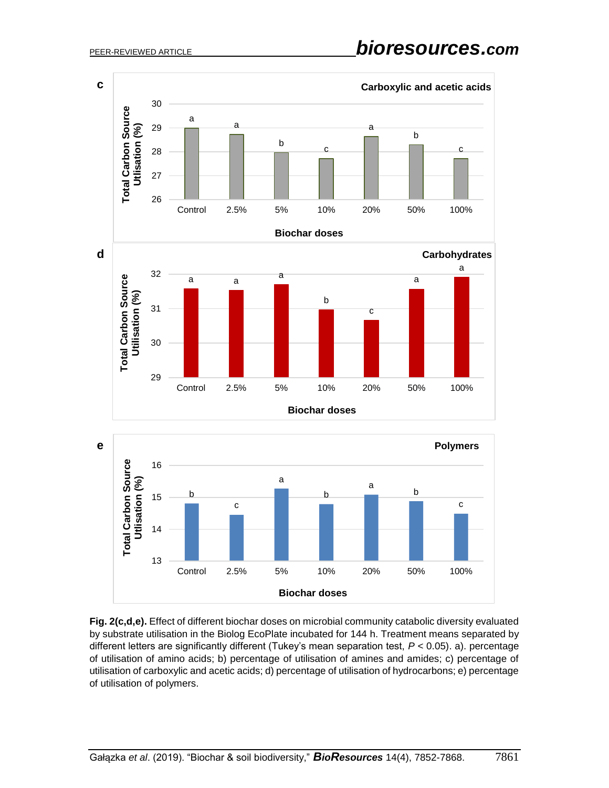

**Fig. 2(c,d,e).** Effect of different biochar doses on microbial community catabolic diversity evaluated by substrate utilisation in the Biolog EcoPlate incubated for 144 h. Treatment means separated by different letters are significantly different (Tukey's mean separation test, *P* < 0.05). a). percentage of utilisation of amino acids; b) percentage of utilisation of amines and amides; c) percentage of utilisation of carboxylic and acetic acids; d) percentage of utilisation of hydrocarbons; e) percentage of utilisation of polymers.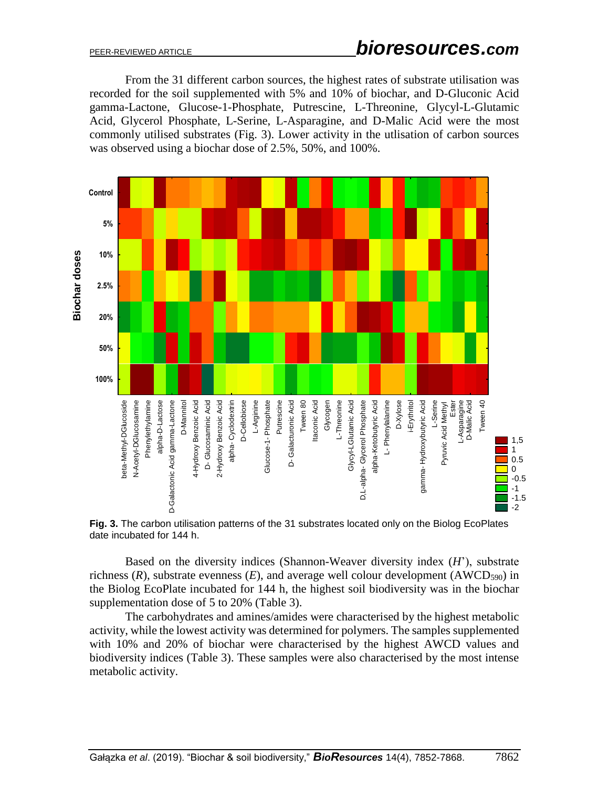From the 31 different carbon sources, the highest rates of substrate utilisation was recorded for the soil supplemented with 5% and 10% of biochar, and D-Gluconic Acid gamma-Lactone, Glucose-1-Phosphate, Putrescine, L-Threonine, Glycyl-L-Glutamic Acid, Glycerol Phosphate, L-Serine, L-Asparagine, and D-Malic Acid were the most commonly utilised substrates (Fig. 3). Lower activity in the utlisation of carbon sources was observed using a biochar dose of 2.5%, 50%, and 100%.



**Fig. 3.** The carbon utilisation patterns of the 31 substrates located only on the Biolog EcoPlates date incubated for 144 h.

Based on the diversity indices (Shannon-Weaver diversity index (*H*'), substrate richness  $(R)$ , substrate evenness  $(E)$ , and average well colour development  $(AWCD_{590})$  in the Biolog EcoPlate incubated for 144 h, the highest soil biodiversity was in the biochar supplementation dose of 5 to 20% (Table 3).

The carbohydrates and amines/amides were characterised by the highest metabolic activity, while the lowest activity was determined for polymers. The samples supplemented with 10% and 20% of biochar were characterised by the highest AWCD values and biodiversity indices (Table 3). These samples were also characterised by the most intense metabolic activity.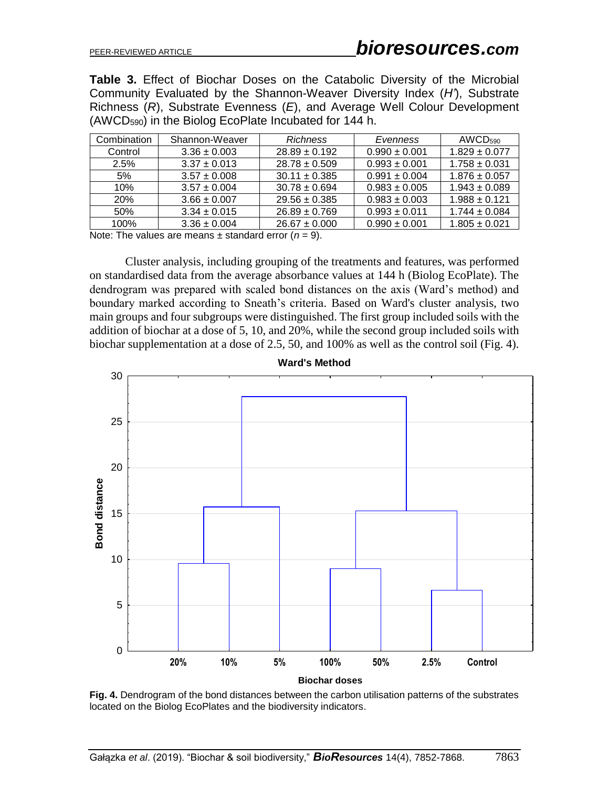**Table 3.** Effect of Biochar Doses on the Catabolic Diversity of the Microbial Community Evaluated by the Shannon-Weaver Diversity Index (*H'*), Substrate Richness (*R*), Substrate Evenness (*E*), and Average Well Colour Development (AWCD590) in the Biolog EcoPlate Incubated for 144 h.

| Combination | Shannon-Weaver   | <b>Richness</b>   | Evenness          | AWCD <sub>590</sub> |  |
|-------------|------------------|-------------------|-------------------|---------------------|--|
| Control     | $3.36 \pm 0.003$ | $28.89 \pm 0.192$ | $0.990 \pm 0.001$ | $1.829 \pm 0.077$   |  |
| 2.5%        | $3.37 \pm 0.013$ | $28.78 \pm 0.509$ | $0.993 \pm 0.001$ | $1.758 \pm 0.031$   |  |
| 5%          | $3.57 \pm 0.008$ | $30.11 \pm 0.385$ | $0.991 \pm 0.004$ | $1.876 \pm 0.057$   |  |
| 10%         | $3.57 \pm 0.004$ | $30.78 \pm 0.694$ | $0.983 \pm 0.005$ | $1.943 \pm 0.089$   |  |
| <b>20%</b>  | $3.66 \pm 0.007$ | $29.56 \pm 0.385$ | $0.983 \pm 0.003$ | $1.988 \pm 0.121$   |  |
| 50%         | $3.34 \pm 0.015$ | $26.89 \pm 0.769$ | $0.993 \pm 0.011$ | $1.744 \pm 0.084$   |  |
| 100%        | $3.36 \pm 0.004$ | $26.67 \pm 0.000$ | $0.990 \pm 0.001$ | $1.805 \pm 0.021$   |  |

Note: The values are means  $\pm$  standard error ( $n = 9$ ).

Cluster analysis, including grouping of the treatments and features, was performed on standardised data from the average absorbance values at 144 h (Biolog EcoPlate). The dendrogram was prepared with scaled bond distances on the axis (Ward's method) and boundary marked according to Sneath's criteria. Based on Ward's cluster analysis, two main groups and four subgroups were distinguished. The first group included soils with the addition of biochar at a dose of 5, 10, and 20%, while the second group included soils with biochar supplementation at a dose of 2.5, 50, and 100% as well as the control soil (Fig. 4).



**Fig. 4.** Dendrogram of the bond distances between the carbon utilisation patterns of the substrates located on the Biolog EcoPlates and the biodiversity indicators.

**Ward's Method**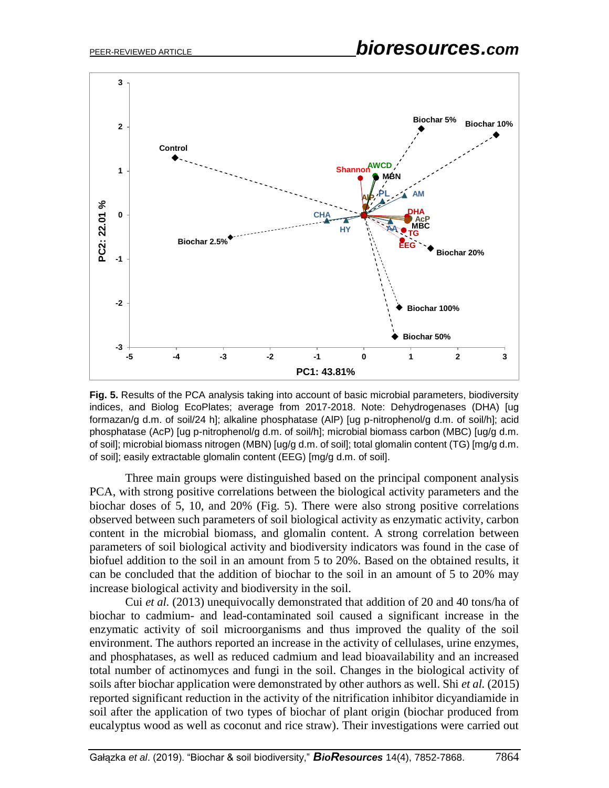

**Fig. 5.** Results of the PCA analysis taking into account of basic microbial parameters, biodiversity indices, and Biolog EcoPlates; average from 2017-2018. Note: Dehydrogenases (DHA) [ug formazan/g d.m. of soil/24 h]; alkaline phosphatase (AlP) [ug p-nitrophenol/g d.m. of soil/h]; acid phosphatase (AcP) [ug p-nitrophenol/g d.m. of soil/h]; microbial biomass carbon (MBC) [ug/g d.m. of soil]; microbial biomass nitrogen (MBN) [ug/g d.m. of soil]; total glomalin content (TG) [mg/g d.m. of soil]; easily extractable glomalin content (EEG) [mg/g d.m. of soil].

Three main groups were distinguished based on the principal component analysis PCA, with strong positive correlations between the biological activity parameters and the biochar doses of 5, 10, and 20% (Fig. 5). There were also strong positive correlations observed between such parameters of soil biological activity as enzymatic activity, carbon content in the microbial biomass, and glomalin content. A strong correlation between parameters of soil biological activity and biodiversity indicators was found in the case of biofuel addition to the soil in an amount from 5 to 20%. Based on the obtained results, it can be concluded that the addition of biochar to the soil in an amount of 5 to 20% may increase biological activity and biodiversity in the soil.

Cui *et al.* (2013) unequivocally demonstrated that addition of 20 and 40 tons/ha of biochar to cadmium- and lead-contaminated soil caused a significant increase in the enzymatic activity of soil microorganisms and thus improved the quality of the soil environment. The authors reported an increase in the activity of cellulases, urine enzymes, and phosphatases, as well as reduced cadmium and lead bioavailability and an increased total number of actinomyces and fungi in the soil. Changes in the biological activity of soils after biochar application were demonstrated by other authors as well. Shi *et al.* (2015) reported significant reduction in the activity of the nitrification inhibitor dicyandiamide in soil after the application of two types of biochar of plant origin (biochar produced from eucalyptus wood as well as coconut and rice straw). Their investigations were carried out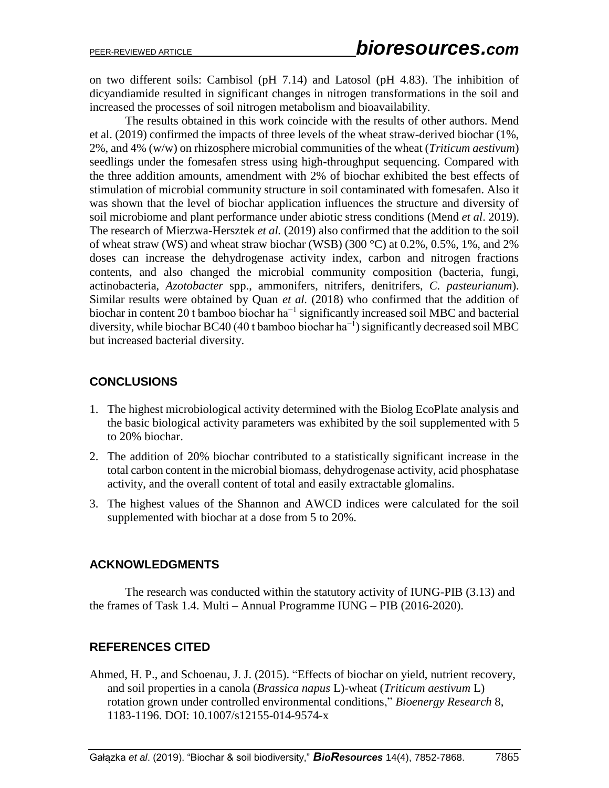on two different soils: Cambisol (pH 7.14) and Latosol (pH 4.83). The inhibition of dicyandiamide resulted in significant changes in nitrogen transformations in the soil and increased the processes of soil nitrogen metabolism and bioavailability.

The results obtained in this work coincide with the results of other authors. Mend et al. (2019) confirmed the impacts of three levels of the wheat straw-derived biochar (1%, 2%, and 4% (w/w) on rhizosphere microbial communities of the wheat (*Triticum aestivum*) seedlings under the fomesafen stress using high-throughput sequencing. Compared with the three addition amounts, amendment with 2% of biochar exhibited the best effects of stimulation of microbial community structure in soil contaminated with fomesafen. Also it was shown that the level of biochar application influences the structure and diversity of soil microbiome and plant performance under abiotic stress conditions (Mend *et al*. 2019). The research of Mierzwa-Hersztek *et al.* (2019) also confirmed that the addition to the soil of wheat straw (WS) and wheat straw biochar (WSB) (300 °C) at  $0.2\%$ ,  $0.5\%$ , 1%, and 2% doses can increase the dehydrogenase activity index, carbon and nitrogen fractions contents, and also changed the microbial community composition (bacteria, fungi, actinobacteria, *Azotobacter* spp., ammonifers, nitrifers, denitrifers, *C. pasteurianum*). Similar results were obtained by Quan *et al.* (2018) who confirmed that the addition of biochar in content 20 t bamboo biochar  $ha^{-1}$  significantly increased soil MBC and bacterial diversity, while biochar BC40 (40 t bamboo biochar ha<sup>-1</sup>) significantly decreased soil MBC but increased bacterial diversity.

# **CONCLUSIONS**

- 1. The highest microbiological activity determined with the Biolog EcoPlate analysis and the basic biological activity parameters was exhibited by the soil supplemented with 5 to 20% biochar.
- 2. The addition of 20% biochar contributed to a statistically significant increase in the total carbon content in the microbial biomass, dehydrogenase activity, acid phosphatase activity, and the overall content of total and easily extractable glomalins.
- 3. The highest values of the Shannon and AWCD indices were calculated for the soil supplemented with biochar at a dose from 5 to 20%.

## **ACKNOWLEDGMENTS**

The research was conducted within the statutory activity of IUNG-PIB (3.13) and the frames of Task 1.4. Multi – Annual Programme IUNG – PIB (2016-2020).

# **REFERENCES CITED**

Ahmed, H. P., and Schoenau, J. J. (2015). "Effects of biochar on yield, nutrient recovery, and soil properties in a canola (*Brassica napus* L)-wheat (*Triticum aestivum* L) rotation grown under controlled environmental conditions," *Bioenergy Research* 8, 1183-1196. DOI: 10.1007/s12155-014-9574-x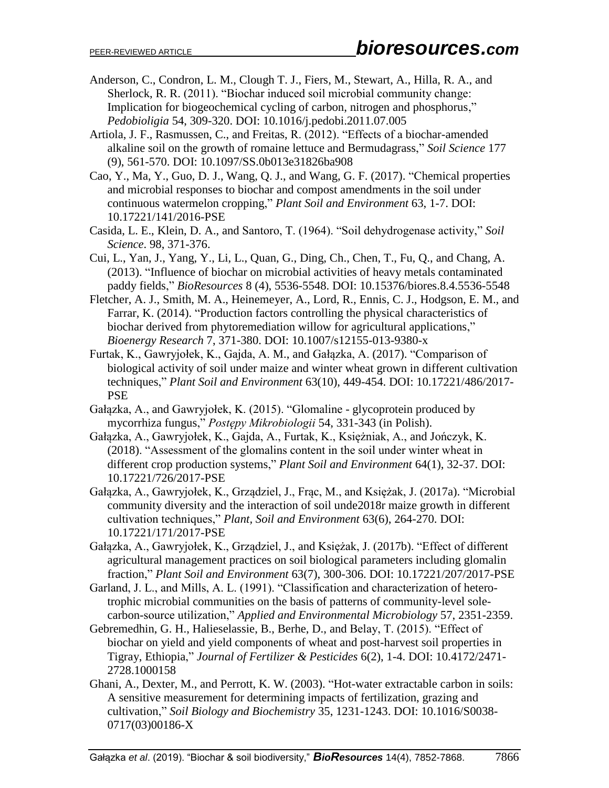- Anderson, C., Condron, L. M., Clough T. J., Fiers, M., Stewart, A., Hilla, R. A., and Sherlock, R. R. (2011). "Biochar induced soil microbial community change: Implication for biogeochemical cycling of carbon, nitrogen and phosphorus," *Pedobioligia* 54, 309-320. DOI: 10.1016/j.pedobi.2011.07.005
- Artiola, J. F., Rasmussen, C., and Freitas, R. (2012). "Effects of a biochar-amended alkaline soil on the growth of romaine lettuce and Bermudagrass," *Soil Science* 177 (9), 561-570. DOI: 10.1097/SS.0b013e31826ba908
- Cao, Y., Ma, Y., Guo, D. J., Wang, Q. J., and Wang, G. F. (2017). "Chemical properties and microbial responses to biochar and compost amendments in the soil under continuous watermelon cropping," *Plant Soil and Environment* 63, 1-7. DOI: 10.17221/141/2016-PSE
- Casida, L. E., Klein, D. A., and Santoro, T. (1964). "Soil dehydrogenase activity," *Soil Science*. 98, 371-376.
- Cui, L., Yan, J., Yang, Y., Li, L., Quan, G., Ding, Ch., Chen, T., Fu, Q., and Chang, A. (2013). "Influence of biochar on microbial activities of heavy metals contaminated paddy fields," *BioResources* 8 (4), 5536-5548. DOI: 10.15376/biores.8.4.5536-5548
- Fletcher, A. J., Smith, M. A., Heinemeyer, A., Lord, R., Ennis, C. J., Hodgson, E. M., and Farrar, K. (2014). "Production factors controlling the physical characteristics of biochar derived from phytoremediation willow for agricultural applications," *Bioenergy Research* 7, 371-380. DOI: 10.1007/s12155-013-9380-x
- Furtak, K., Gawryjołek, K., Gajda, A. M., and Gałązka, A. (2017). "Comparison of biological activity of soil under maize and winter wheat grown in different cultivation techniques," *Plant Soil and Environment* 63(10), 449-454. DOI: 10.17221/486/2017- PSE
- Gałązka, A., and Gawryjołek, K. (2015). "Glomaline glycoprotein produced by mycorrhiza fungus," *Postępy Mikrobiologii* 54, 331-343 (in Polish).
- Gałązka, A., Gawryjołek, K., Gajda, A., Furtak, K., Księżniak, A., and Jończyk, K. (2018). "Assessment of the glomalins content in the soil under winter wheat in different crop production systems," *Plant Soil and Environment* 64(1), 32-37. DOI: 10.17221/726/2017-PSE
- Gałązka, A., Gawryjołek, K., Grządziel, J., Frąc, M., and Księżak, J. (2017a). "Microbial community diversity and the interaction of soil unde2018r maize growth in different cultivation techniques," *Plant, Soil and Environment* 63(6), 264-270. DOI: 10.17221/171/2017-PSE
- Gałązka, A., Gawryjołek, K., Grządziel, J., and Księżak, J. (2017b). "Effect of different agricultural management practices on soil biological parameters including glomalin fraction," *Plant Soil and Environment* 63(7), 300-306. DOI: 10.17221/207/2017-PSE
- Garland, J. L., and Mills, A. L. (1991). "Classification and characterization of heterotrophic microbial communities on the basis of patterns of community-level solecarbon-source utilization," *Applied and Environmental Microbiology* 57, 2351-2359.
- Gebremedhin, G. H., Halieselassie, B., Berhe, D., and Belay, T. (2015). "Effect of biochar on yield and yield components of wheat and post-harvest soil properties in Tigray, Ethiopia," *Journal of Fertilizer & Pesticides* 6(2), 1-4. DOI: 10.4172/2471- 2728.1000158
- Ghani, A., Dexter, M., and Perrott, K. W. (2003). "Hot-water extractable carbon in soils: A sensitive measurement for determining impacts of fertilization, grazing and cultivation," *Soil Biology and Biochemistry* 35, 1231-1243. DOI: 10.1016/S0038- 0717(03)00186-X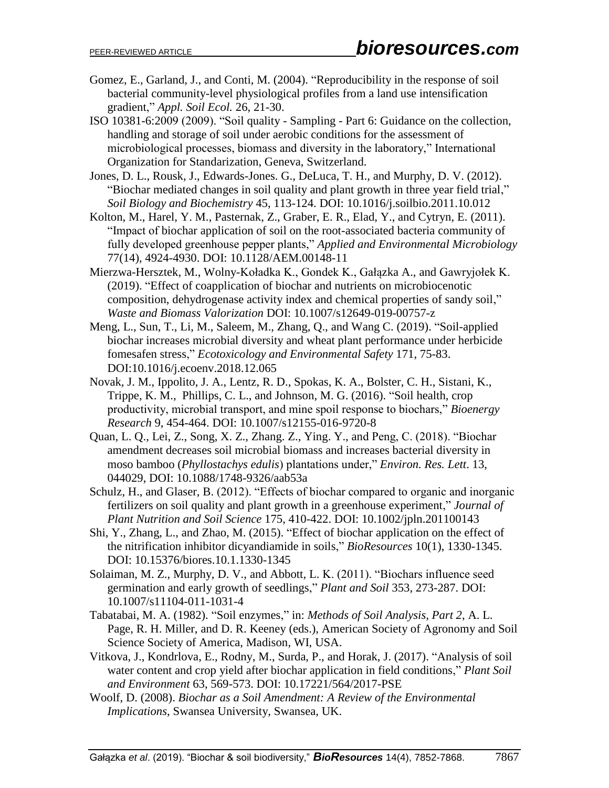- Gomez, E., Garland, J., and Conti, M. (2004). "Reproducibility in the response of soil bacterial community-level physiological profiles from a land use intensification gradient," *Appl. Soil Ecol.* 26, 21-30.
- ISO 10381-6:2009 (2009). "Soil quality Sampling Part 6: Guidance on the collection, handling and storage of soil under aerobic conditions for the assessment of microbiological processes, biomass and diversity in the laboratory," International Organization for Standarization, Geneva, Switzerland.
- Jones, D. L., Rousk, J., Edwards-Jones. G., DeLuca, T. H., and Murphy, D. V. (2012). "Biochar mediated changes in soil quality and plant growth in three year field trial," *Soil Biology and Biochemistry* 45, 113-124. DOI: 10.1016/j.soilbio.2011.10.012
- Kolton, M., Harel, Y. M., Pasternak, Z., Graber, E. R., Elad, Y., and Cytryn, E. (2011). "Impact of biochar application of soil on the root-associated bacteria community of fully developed greenhouse pepper plants," *Applied and Environmental Microbiology* 77(14), 4924-4930. DOI: 10.1128/AEM.00148-11
- Mierzwa-Hersztek, M., Wolny-Koładka K., Gondek K., Gałązka A., and Gawryjołek K. (2019). "Effect of coapplication of biochar and nutrients on microbiocenotic composition, dehydrogenase activity index and chemical properties of sandy soil," *Waste and Biomass Valorization* DOI: 10.1007/s12649-019-00757-z
- Meng, L., Sun, T., Li, M., Saleem, M., Zhang, Q., and Wang C. (2019). "Soil-applied biochar increases microbial diversity and wheat plant performance under herbicide fomesafen stress," *Ecotoxicology and Environmental Safety* 171, 75-83. DOI:10.1016/j.ecoenv.2018.12.065
- Novak, J. M., Ippolito, J. A., Lentz, R. D., Spokas, K. A., Bolster, C. H., Sistani, K., Trippe, K. M., Phillips, C. L., and Johnson, M. G. (2016). "Soil health, crop productivity, microbial transport, and mine spoil response to biochars," *Bioenergy Research* 9, 454-464. DOI: 10.1007/s12155-016-9720-8
- Quan, L. Q., Lei, Z., Song, X. Z., Zhang. Z., Ying. Y., and Peng, C. (2018). "Biochar amendment decreases soil microbial biomass and increases bacterial diversity in moso bamboo (*Phyllostachys edulis*) plantations under," *Environ. Res. Lett*. 13, 044029, DOI: 10.1088/1748-9326/aab53a
- Schulz, H., and Glaser, B. (2012). "Effects of biochar compared to organic and inorganic fertilizers on soil quality and plant growth in a greenhouse experiment," *Journal of Plant Nutrition and Soil Science* 175, 410-422. DOI: 10.1002/jpln.201100143
- Shi, Y., Zhang, L., and Zhao, M. (2015). "Effect of biochar application on the effect of the nitrification inhibitor dicyandiamide in soils," *BioResources* 10(1), 1330-1345. DOI: 10.15376/biores.10.1.1330-1345
- Solaiman, M. Z., Murphy, D. V., and Abbott, L. K. (2011). "Biochars influence seed germination and early growth of seedlings," *Plant and Soil* 353, 273-287. DOI: 10.1007/s11104-011-1031-4
- Tabatabai, M. A. (1982). "Soil enzymes," in: *Methods of Soil Analysis, Part 2*, A. L. Page, R. H. Miller, and D. R. Keeney (eds.), American Society of Agronomy and Soil Science Society of America, Madison, WI, USA.
- Vitkova, J., Kondrlova, E., Rodny, M., Surda, P., and Horak, J. (2017). "Analysis of soil water content and crop yield after biochar application in field conditions," *Plant Soil and Environment* 63, 569-573. DOI: 10.17221/564/2017-PSE
- Woolf, D. (2008). *Biochar as a Soil Amendment: A Review of the Environmental Implications*, Swansea University, Swansea, UK.